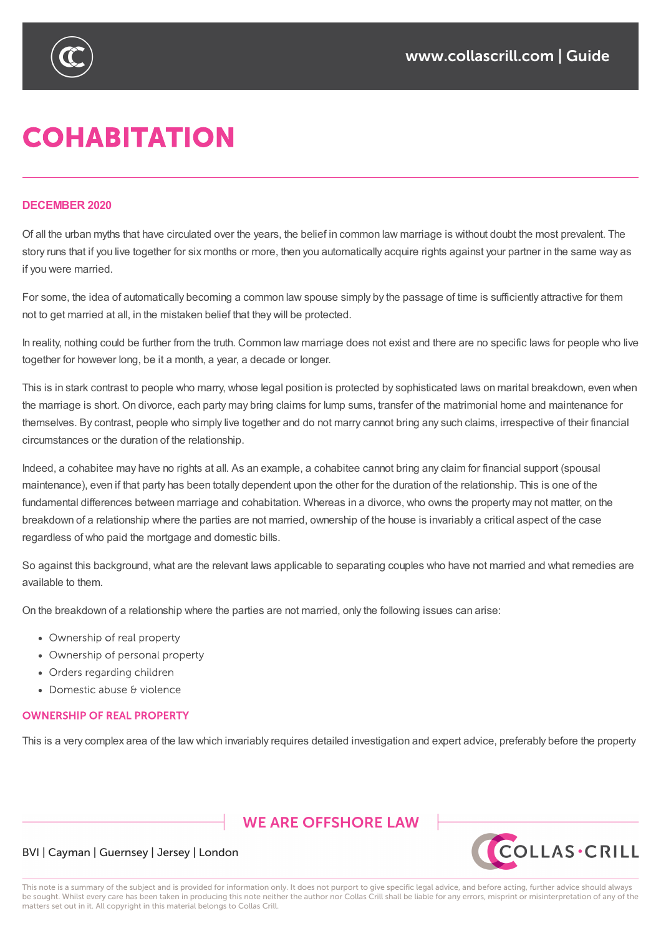

# **COHABITATION**

#### **DECEMBER 2020**

Of all the urban myths that have circulated over the years, the belief in common law marriage is without doubt the most prevalent. The story runs that if you live together for six months or more, then you automatically acquire rights against your partner in the same way as if you were married.

For some, the idea of automatically becoming a common law spouse simply by the passage of time is sufficiently attractive for them not to get married at all, in the mistaken belief that they will be protected.

In reality, nothing could be further from the truth. Common law marriage does not exist and there are no specific laws for people who live together for however long, be it a month, a year, a decade or longer.

This is in stark contrast to people who marry, whose legal position is protected by sophisticated laws on marital breakdown, even when the marriage is short. On divorce, each party may bring claims for lump sums, transfer of the matrimonial home and maintenance for themselves. By contrast, people who simply live together and do not marry cannot bring any such claims, irrespective of their financial circumstances or the duration of the relationship.

Indeed, a cohabitee may have no rights at all. As an example, a cohabitee cannot bring any claim for financial support (spousal maintenance), even if that party has been totally dependent upon the other for the duration of the relationship. This is one of the fundamental differences between marriage and cohabitation. Whereas in a divorce, who owns the property may not matter, on the breakdown of a relationship where the parties are not married, ownership of the house is invariably a critical aspect of the case regardless of who paid the mortgage and domestic bills.

So against this background, what are the relevant laws applicable to separating couples who have not married and what remedies are available to them.

On the breakdown of a relationship where the parties are not married, only the following issues can arise:

- Ownership of real property
- Ownership of personal property
- Orders regarding children
- Domestic abuse & violence

#### **OWNERSHIP OF REAL PROPERTY**

This is a very complex area of the law which invariably requires detailed investigation and expert advice, preferably before the property

## **WE ARE OFFSHORE LAW**



### BVI | Cayman | Guernsey | Jersey | London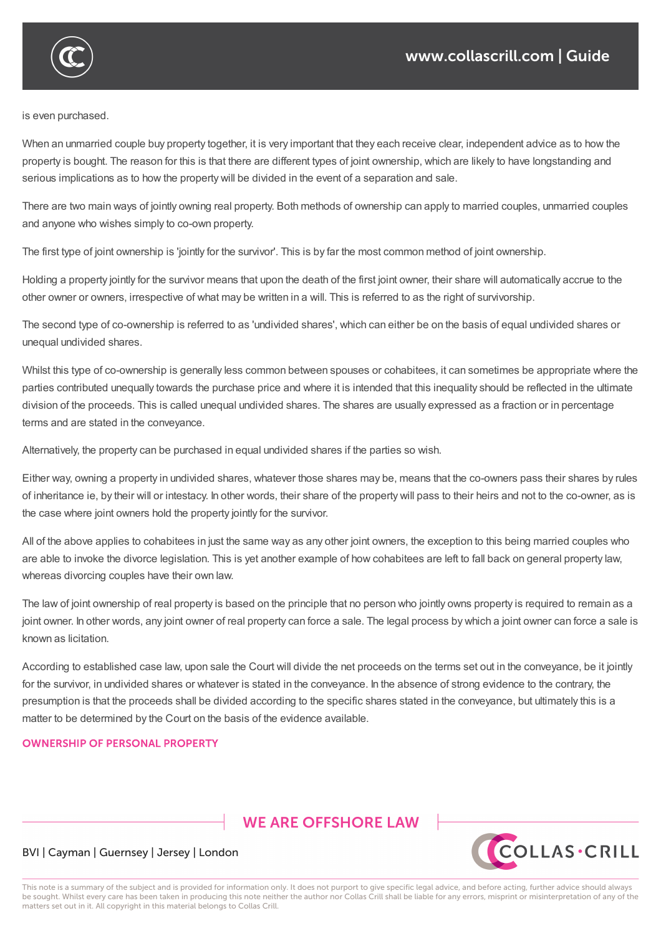

is even purchased.

When an unmarried couple buy property together, it is very important that they each receive clear, independent advice as to how the property is bought. The reason for this is that there are different types of joint ownership, which are likely to have longstanding and serious implications as to how the property will be divided in the event of a separation and sale.

There are two main ways of jointly owning real property. Both methods of ownership can apply to married couples, unmarried couples and anyone who wishes simply to co-own property.

The first type of joint ownership is 'jointly for the survivor'. This is by far the most common method of joint ownership.

Holding a property jointly for the survivor means that upon the death of the first joint owner, their share will automatically accrue to the other owner or owners, irrespective of what may be written in a will. This is referred to as the right of survivorship.

The second type of co-ownership is referred to as 'undivided shares', which can either be on the basis of equal undivided shares or unequal undivided shares.

Whilst this type of co-ownership is generally less common between spouses or cohabitees, it can sometimes be appropriate where the parties contributed unequally towards the purchase price and where it is intended that this inequality should be reflected in the ultimate division of the proceeds. This is called unequal undivided shares. The shares are usually expressed as a fraction or in percentage terms and are stated in the conveyance.

Alternatively, the property can be purchased in equal undivided shares if the parties so wish.

Either way, owning a property in undivided shares, whatever those shares may be, means that the co-owners pass their shares by rules of inheritance ie, by their will or intestacy. In other words, their share of the property will pass to their heirs and not to the co-owner, as is the case where joint owners hold the property jointly for the survivor.

All of the above applies to cohabitees in just the same way as any other joint owners, the exception to this being married couples who are able to invoke the divorce legislation. This is yet another example of how cohabitees are left to fall back on general property law, whereas divorcing couples have their own law.

The law of joint ownership of real property is based on the principle that no person who jointly owns property is required to remain as a joint owner. In other words, any joint owner of real property can force a sale. The legal process by which a joint owner can force a sale is known as licitation.

According to established case law, upon sale the Court will divide the net proceeds on the terms set out in the conveyance, be it jointly for the survivor, in undivided shares or whatever is stated in the conveyance. In the absence of strong evidence to the contrary, the presumption is that the proceeds shall be divided according to the specific shares stated in the conveyance, but ultimately this is a matter to be determined by the Court on the basis of the evidence available.

#### **OWNERSHIP OF PERSONAL PROPERTY**

# **WE ARE OFFSHORE LAW**



#### BVI | Cayman | Guernsey | Jersey | London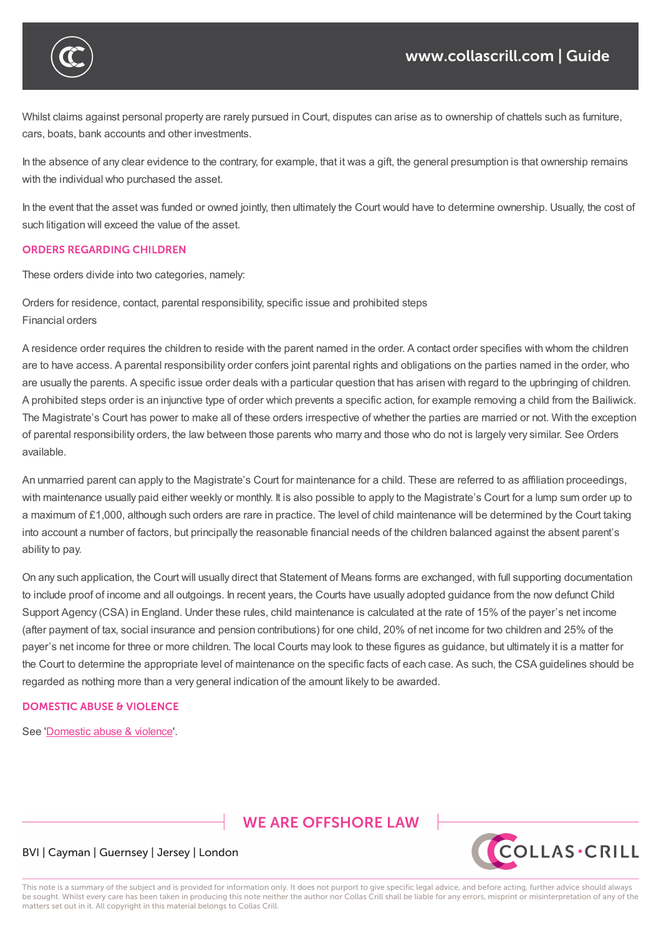

Whilst claims against personal property are rarely pursued in Court, disputes can arise as to ownership of chattels such as furniture, cars, boats, bank accounts and other investments.

In the absence of any clear evidence to the contrary, for example, that it was a gift, the general presumption is that ownership remains with the individual who purchased the asset.

In the event that the asset was funded or owned jointly, then ultimately the Court would have to determine ownership. Usually, the cost of such litigation will exceed the value of the asset.

#### **ORDERS REGARDING CHILDREN**

These orders divide into two categories, namely:

Orders for residence, contact, parental responsibility, specific issue and prohibited steps Financial orders

A residence order requires the children to reside with the parent named in the order. A contact order specifies with whom the children are to have access. A parental responsibility order confers joint parental rights and obligations on the parties named in the order, who are usually the parents. A specific issue order deals with a particular question that has arisen with regard to the upbringing of children. A prohibited steps order is an injunctive type of order which prevents a specific action, for example removing a child from the Bailiwick. The Magistrate's Court has power to make all of these orders irrespective of whether the parties are married or not. With the exception of parental responsibility orders, the law between those parents who marry and those who do not is largely very similar. See Orders available.

An unmarried parent can apply to the Magistrate's Court for maintenance for a child. These are referred to as affiliation proceedings, with maintenance usually paid either weekly or monthly. It is also possible to apply to the Magistrate's Court for a lump sum order up to a maximum of £1,000, although such orders are rare in practice. The level of child maintenance will be determined by the Court taking into account a number of factors, but principally the reasonable financial needs of the children balanced against the absent parent's ability to pay.

On any such application, the Court will usually direct that Statement of Means forms are exchanged, with full supporting documentation to include proof of income and all outgoings. In recent years, the Courts have usually adopted guidance from the now defunct Child Support Agency (CSA) in England. Under these rules, child maintenance is calculated at the rate of 15% of the payer's net income (after payment of tax, social insurance and pension contributions) for one child, 20% of net income for two children and 25% of the payer's net income for three or more children. The local Courts may look to these figures as guidance, but ultimately it is a matter for the Court to determine the appropriate level of maintenance on the specific facts of each case. As such, the CSA guidelines should be regarded as nothing more than a very general indication of the amount likely to be awarded.

#### **DOMESTIC ABUSE & VIOLENCE**

See 'Domestic abuse & violence'.

## **WE ARE OFFSHORE LAW**



#### BVI | Cayman | Guernsey | Jersey | London